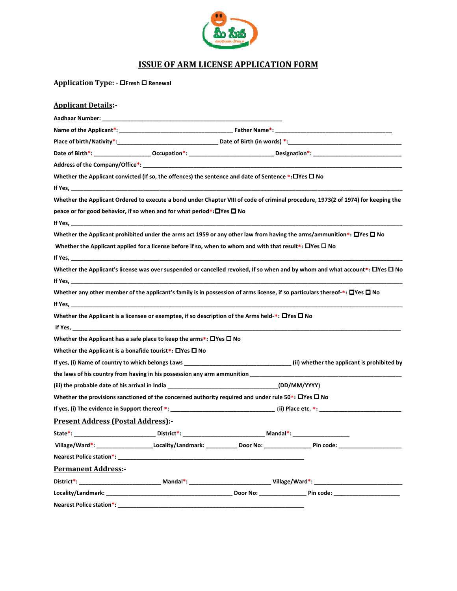

## ISSUE OF ARM LICENSE APPLICATION FORM

| and the second second second second second second second second second second second second second second second second second second second second second second second second second second second second second second seco |
|--------------------------------------------------------------------------------------------------------------------------------------------------------------------------------------------------------------------------------|
| <b>ISSUE OF ARM LICENSE APPLICATION FORM</b>                                                                                                                                                                                   |
| Application Type: - □Fresh □ Renewal                                                                                                                                                                                           |
| <b>Applicant Details:-</b>                                                                                                                                                                                                     |
|                                                                                                                                                                                                                                |
|                                                                                                                                                                                                                                |
|                                                                                                                                                                                                                                |
|                                                                                                                                                                                                                                |
|                                                                                                                                                                                                                                |
| Whether the Applicant convicted (If so, the offences) the sentence and date of Sentence *: □ Yes □ No                                                                                                                          |
|                                                                                                                                                                                                                                |
| Whether the Applicant Ordered to execute a bond under Chapter VIII of code of criminal procedure, 1973(2 of 1974) for keeping the                                                                                              |
| peace or for good behavior, if so when and for what period*: OYes O No                                                                                                                                                         |
|                                                                                                                                                                                                                                |
| Whether the Applicant prohibited under the arms act 1959 or any other law from having the arms/ammunition*: $\Box$ Yes $\Box$ No                                                                                               |
| Whether the Applicant applied for a license before if so, when to whom and with that result*: $\Box$ Yes $\Box$ No                                                                                                             |
|                                                                                                                                                                                                                                |
| Whether the Applicant's license was over suspended or cancelled revoked, If so when and by whom and what account*: $\Box$ Yes $\Box$ No                                                                                        |
|                                                                                                                                                                                                                                |
| Whether any other member of the applicant's family is in possession of arms license, if so particulars thereof-*: $\Box$ Yes $\Box$ No                                                                                         |
|                                                                                                                                                                                                                                |
| Whether the Applicant is a licensee or exemptee, if so description of the Arms held-*: $\Box$ Yes $\Box$ No                                                                                                                    |
|                                                                                                                                                                                                                                |
| Whether the Applicant has a safe place to keep the arms*: $\Box$ Yes $\Box$ No                                                                                                                                                 |
| Whether the Applicant is a bonafide tourist*: $\Box$ Yes $\Box$ No                                                                                                                                                             |
| If yes, (i) Name of country to which belongs Laws ______________________________(ii) whether the applicant is prohibited by                                                                                                    |
| the laws of his country from having in his possession any arm ammunition                                                                                                                                                       |
| (iii) the probable date of his arrival in India (DD/MM/YYYY)                                                                                                                                                                   |
| Whether the provisions sanctioned of the concerned authority required and under rule 50*: $\Box$ Yes $\Box$ No                                                                                                                 |
|                                                                                                                                                                                                                                |
| <b>Present Address (Postal Address):-</b>                                                                                                                                                                                      |
| State*:______________________________District*: ________________________________Mandal*: _____________________                                                                                                                 |
|                                                                                                                                                                                                                                |
|                                                                                                                                                                                                                                |
| <b>Permanent Address:-</b>                                                                                                                                                                                                     |
|                                                                                                                                                                                                                                |
|                                                                                                                                                                                                                                |
|                                                                                                                                                                                                                                |